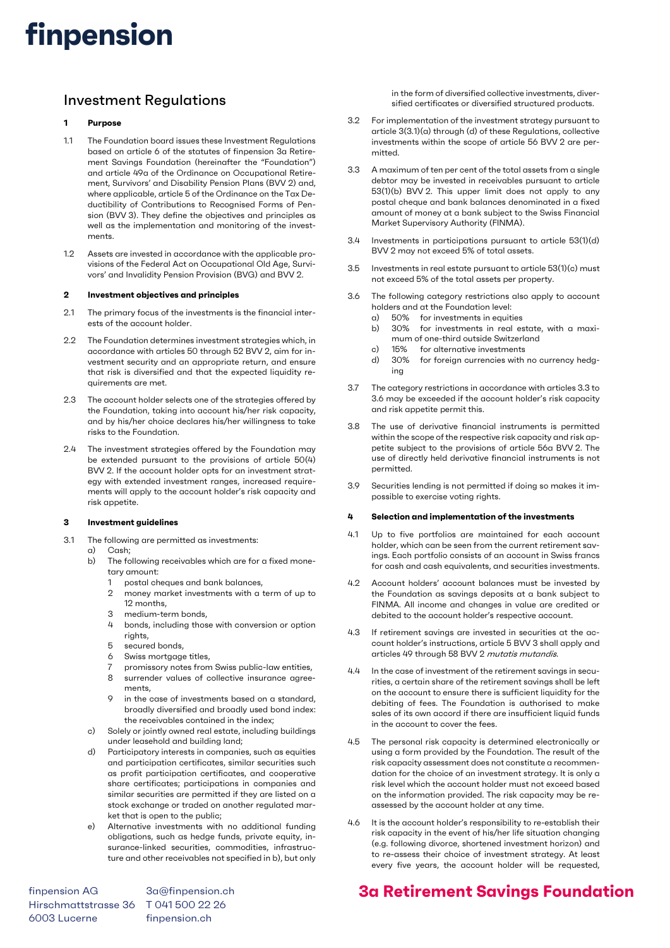# finpension

## Investment Regulations

### 1 Purpose

- 1.1 The Foundation board issues these Investment Regulations based on article 6 of the statutes of finpension 3a Retirement Savings Foundation (hereinafter the "Foundation") and article 49a of the Ordinance on Occupational Retirement, Survivors' and Disability Pension Plans (BVV 2) and, where applicable, article 5 of the Ordinance on the Tax Deductibility of Contributions to Recognised Forms of Pension (BVV 3). They define the objectives and principles as well as the implementation and monitoring of the investments.
- 1.2 Assets are invested in accordance with the applicable provisions of the Federal Act on Occupational Old Age, Survivors' and Invalidity Pension Provision (BVG) and BVV 2.

#### 2 Investment objectives and principles

- 2.1 The primary focus of the investments is the financial interests of the account holder.
- 2.2 The Foundation determines investment strategies which, in accordance with articles 50 through 52 BVV 2, aim for investment security and an appropriate return, and ensure that risk is diversified and that the expected liquidity requirements are met.
- 2.3 The account holder selects one of the strategies offered by the Foundation, taking into account his/her risk capacity, and by his/her choice declares his/her willingness to take risks to the Foundation.
- 2.4 The investment strategies offered by the Foundation may be extended pursuant to the provisions of article 50(4) BVV 2. If the account holder opts for an investment strategy with extended investment ranges, increased requirements will apply to the account holder's risk capacity and risk appetite.

### 3 Investment guidelines

- 3.1 The following are permitted as investments:
	- a) Cash;
	- b) The following receivables which are for a fixed monetary amount:
		- 1 postal cheques and bank balances,
		- 2 money market investments with a term of up to 12 months,
		- 3 medium-term bonds,
		- 4 bonds, including those with conversion or option rights,
		- 5 secured bonds,
		- 6 Swiss mortgage titles,
		- 7 promissory notes from Swiss public-law entities,
		- 8 surrender values of collective insurance agreements,
		- in the case of investments based on a standard, broadly diversified and broadly used bond index: the receivables contained in the index;
	- c) Solely or jointly owned real estate, including buildings under leasehold and building land;
	- Participatory interests in companies, such as equities and participation certificates, similar securities such as profit participation certificates, and cooperative share certificates; participations in companies and similar securities are permitted if they are listed on a stock exchange or traded on another regulated market that is open to the public;
	- e) Alternative investments with no additional funding obligations, such as hedge funds, private equity, insurance-linked securities, commodities, infrastructure and other receivables not specified in b), but only

finpension AG 3a@finpension.ch Hirschmattstrasse 36 T 041 500 22 26 6003 Lucerne finpension.ch

in the form of diversified collective investments, diversified certificates or diversified structured products.

- 3.2 For implementation of the investment strategy pursuant to article 3(3.1)(a) through (d) of these Regulations, collective investments within the scope of article 56 BVV 2 are permitted.
- 3.3 A maximum of ten per cent of the total assets from a single debtor may be invested in receivables pursuant to article 53(1)(b) BVV 2. This upper limit does not apply to any postal cheque and bank balances denominated in a fixed amount of money at a bank subject to the Swiss Financial Market Supervisory Authority (FINMA).
- 3.4 Investments in participations pursuant to article 53(1)(d) BVV 2 may not exceed 5% of total assets.
- 3.5 Investments in real estate pursuant to article 53(1)(c) must not exceed 5% of the total assets per property.
- 3.6 The following category restrictions also apply to account holders and at the Foundation level:
	- a) 50% for investments in equities
	- b) 30% for investments in real estate, with a maximum of one-third outside Switzerland
	- c) 15% for alternative investments
	- d) 30% for foreign currencies with no currency hedging
- 3.7 The category restrictions in accordance with articles 3.3 to 3.6 may be exceeded if the account holder's risk capacity and risk appetite permit this.
- 3.8 The use of derivative financial instruments is permitted within the scope of the respective risk capacity and risk appetite subject to the provisions of article 56a BVV 2. The use of directly held derivative financial instruments is not permitted.
- 3.9 Securities lending is not permitted if doing so makes it impossible to exercise voting rights.

#### 4 Selection and implementation of the investments

- 4.1 Up to five portfolios are maintained for each account holder, which can be seen from the current retirement savings. Each portfolio consists of an account in Swiss francs for cash and cash equivalents, and securities investments.
- 4.2 Account holders' account balances must be invested by the Foundation as savings deposits at a bank subject to FINMA. All income and changes in value are credited or debited to the account holder's respective account.
- 4.3 If retirement savings are invested in securities at the account holder's instructions, article 5 BVV 3 shall apply and articles 49 through 58 BVV 2 mutatis mutandis.
- 4.4 In the case of investment of the retirement savings in securities, a certain share of the retirement savings shall be left on the account to ensure there is sufficient liquidity for the debiting of fees. The Foundation is authorised to make sales of its own accord if there are insufficient liquid funds in the account to cover the fees.
- 4.5 The personal risk capacity is determined electronically or using a form provided by the Foundation. The result of the risk capacity assessment does not constitute a recommendation for the choice of an investment strategy. It is only a risk level which the account holder must not exceed based on the information provided. The risk capacity may be reassessed by the account holder at any time.
- 4.6 It is the account holder's responsibility to re-establish their risk capacity in the event of his/her life situation changing (e.g. following divorce, shortened investment horizon) and to re-assess their choice of investment strategy. At least every five years, the account holder will be requested,

## 3a Retirement Savings Foundation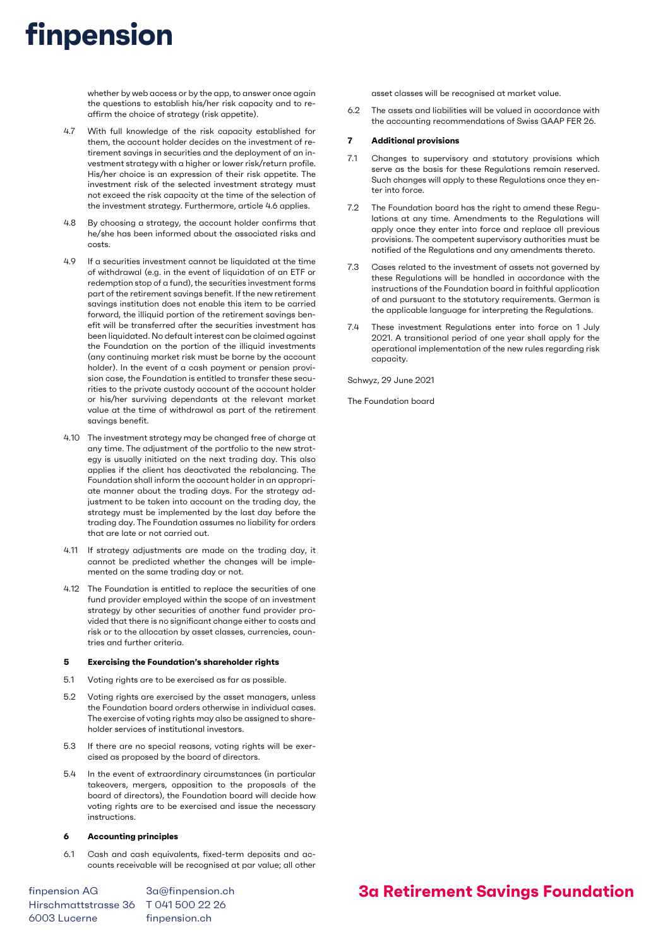# finpension

whether by web access or by the app, to answer once again the questions to establish his/her risk capacity and to reaffirm the choice of strategy (risk appetite).

- 4.7 With full knowledge of the risk capacity established for them, the account holder decides on the investment of retirement savings in securities and the deployment of an investment strategy with a higher or lower risk/return profile. His/her choice is an expression of their risk appetite. The investment risk of the selected investment strategy must not exceed the risk capacity at the time of the selection of the investment strategy. Furthermore, article 4.6 applies.
- 4.8 By choosing a strategy, the account holder confirms that he/she has been informed about the associated risks and costs.
- 4.9 If a securities investment cannot be liquidated at the time of withdrawal (e.g. in the event of liquidation of an ETF or redemption stop of a fund), the securities investment forms part of the retirement savings benefit. If the new retirement savings institution does not enable this item to be carried forward, the illiquid portion of the retirement savings benefit will be transferred after the securities investment has been liquidated. No default interest can be claimed against the Foundation on the portion of the illiquid investments (any continuing market risk must be borne by the account holder). In the event of a cash payment or pension provision case, the Foundation is entitled to transfer these securities to the private custody account of the account holder or his/her surviving dependants at the relevant market value at the time of withdrawal as part of the retirement savings benefit.
- 4.10 The investment strategy may be changed free of charge at any time. The adjustment of the portfolio to the new strategy is usually initiated on the next trading day. This also applies if the client has deactivated the rebalancing. The Foundation shall inform the account holder in an appropriate manner about the trading days. For the strategy adjustment to be taken into account on the trading day, the strategy must be implemented by the last day before the trading day. The Foundation assumes no liability for orders that are late or not carried out.
- 4.11 If strategy adjustments are made on the trading day, it cannot be predicted whether the changes will be implemented on the same trading day or not.
- 4.12 The Foundation is entitled to replace the securities of one fund provider employed within the scope of an investment strategy by other securities of another fund provider provided that there is no significant change either to costs and risk or to the allocation by asset classes, currencies, countries and further criteria.

### 5 Exercising the Foundation's shareholder rights

- 5.1 Voting rights are to be exercised as far as possible.
- 5.2 Voting rights are exercised by the asset managers, unless the Foundation board orders otherwise in individual cases. The exercise of voting rights may also be assigned to shareholder services of institutional investors.
- 5.3 If there are no special reasons, voting rights will be exercised as proposed by the board of directors.
- 5.4 In the event of extraordinary circumstances (in particular takeovers, mergers, opposition to the proposals of the board of directors), the Foundation board will decide how voting rights are to be exercised and issue the necessary instructions.

#### 6 Accounting principles

6.1 Cash and cash equivalents, fixed-term deposits and accounts receivable will be recognised at par value; all other

finpension AG 3a@finpension.ch Hirschmattstrasse 36 T 041 500 22 26 6003 Lucerne finpension.ch

asset classes will be recognised at market value.

6.2 The assets and liabilities will be valued in accordance with the accounting recommendations of Swiss GAAP FER 26.

### 7 Additional provisions

- 7.1 Changes to supervisory and statutory provisions which serve as the basis for these Regulations remain reserved. Such changes will apply to these Regulations once they enter into force.
- 7.2 The Foundation board has the right to amend these Regulations at any time. Amendments to the Regulations will apply once they enter into force and replace all previous provisions. The competent supervisory authorities must be notified of the Regulations and any amendments thereto.
- 7.3 Cases related to the investment of assets not governed by these Regulations will be handled in accordance with the instructions of the Foundation board in faithful application of and pursuant to the statutory requirements. German is the applicable language for interpreting the Regulations.
- 7.4 These investment Regulations enter into force on 1 July 2021. A transitional period of one year shall apply for the operational implementation of the new rules regarding risk capacity.

Schwyz, 29 June 2021

The Foundation board

## 3a Retirement Savings Foundation